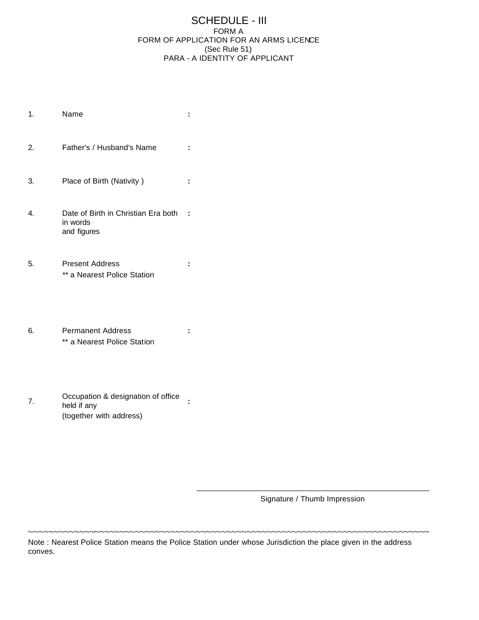## SCHEDULE - III FORM A FORM OF APPLICATION FOR AN ARMS LICENCE (Sec Rule 51) PARA - A IDENTITY OF APPLICANT

1. Name **:**

2. Father's / Husband's Name **:**

3. Place of Birth (Nativity ) **:**

- 4. Date of Birth in Christian Era both **:** in words and figures
- 5. Present Address **:** *\*\** a Nearest Police Station
- 6. Permanent Address **:** \*\* a Nearest Police Station
- 7. Occupation & designation of office held if any **:** (together with address)

Signature / Thumb Impression

Note : Nearest Police Station means the Police Station under whose Jurisdiction the place given in the address conves.

~~~~~~~~~~~~~~~~~~~~~~~~~~~~~~~~~~~~~~~~~~~~~~~~~~~~~~~~~~~~~~~~~~~~~~~~~~~~~~~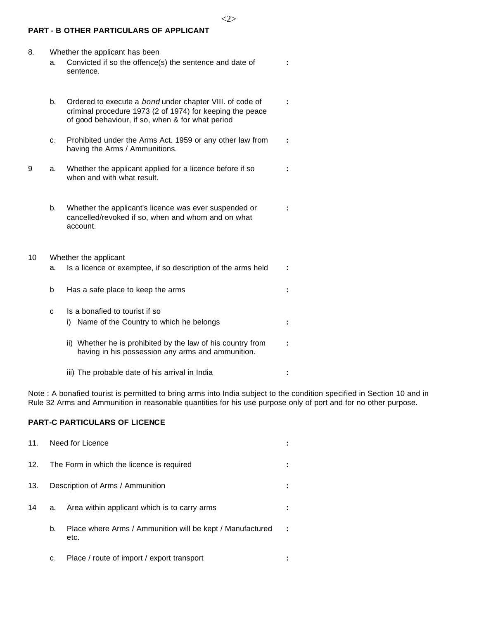## **PART - B OTHER PARTICULARS OF APPLICANT**

| 8. | a.                    | Whether the applicant has been<br>Convicted if so the offence(s) the sentence and date of<br>sentence.                                                                    |   |  |  |
|----|-----------------------|---------------------------------------------------------------------------------------------------------------------------------------------------------------------------|---|--|--|
|    | b.                    | Ordered to execute a bond under chapter VIII. of code of<br>criminal procedure 1973 (2 of 1974) for keeping the peace<br>of good behaviour, if so, when & for what period | ÷ |  |  |
|    | c.                    | Prohibited under the Arms Act. 1959 or any other law from<br>having the Arms / Ammunitions.                                                                               |   |  |  |
| 9  | a.                    | Whether the applicant applied for a licence before if so<br>when and with what result.                                                                                    | ÷ |  |  |
|    | b.                    | Whether the applicant's licence was ever suspended or<br>cancelled/revoked if so, when and whom and on what<br>account.                                                   |   |  |  |
|    | Whether the applicant |                                                                                                                                                                           |   |  |  |
| 10 | а.                    | Is a licence or exemptee, if so description of the arms held                                                                                                              |   |  |  |
|    | b                     | Has a safe place to keep the arms                                                                                                                                         |   |  |  |
|    | c                     | Is a bonafied to tourist if so<br>i) Name of the Country to which he belongs                                                                                              |   |  |  |
|    |                       | ii) Whether he is prohibited by the law of his country from<br>having in his possession any arms and ammunition.                                                          |   |  |  |
|    |                       | iii) The probable date of his arrival in India                                                                                                                            |   |  |  |

<2>

Note : A bonafied tourist is permitted to bring arms into India subject to the condition specified in Section 10 and in Rule 32 Arms and Ammunition in reasonable quantities for his use purpose only of port and for no other purpose.

# **PART-C PARTICULARS OF LICENCE**

| 11. | Need for Licence                          |                                                                   |  |  |
|-----|-------------------------------------------|-------------------------------------------------------------------|--|--|
| 12. | The Form in which the licence is required |                                                                   |  |  |
| 13. |                                           | Description of Arms / Ammunition                                  |  |  |
| 14  | а.                                        | Area within applicant which is to carry arms                      |  |  |
|     | b.                                        | Place where Arms / Ammunition will be kept / Manufactured<br>etc. |  |  |
|     | c.                                        | Place / route of import / export transport                        |  |  |